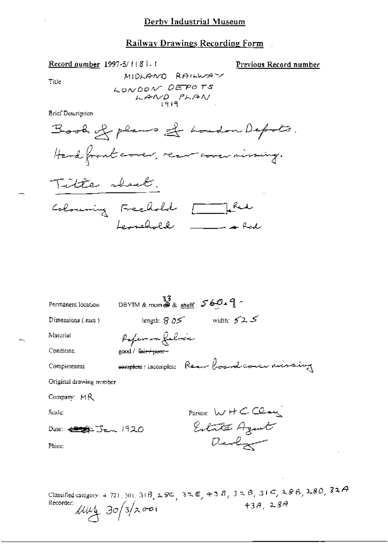#### Railway Drawings Recording Form

Previous Record number

Tide

MIDLANO RAILWAY LONDON DEPOTS<br>LAND PLAN

**Brief Description** 

Record number 1997-5/1181.1





| Permanent location             | DBYTM & room $\frac{33}{38}$ & shelf: $560.9$  |                            |  |
|--------------------------------|------------------------------------------------|----------------------------|--|
| Dimensions (mm)                |                                                | length: $805$ width: $525$ |  |
| Material                       | Poper-on falmie                                |                            |  |
| Condition                      | good / l <del>air / poer -</del>               |                            |  |
| Completeness                   | comptete / incomptete Rear board cover missing |                            |  |
| Original drawing number        |                                                |                            |  |
| Company: MR                    |                                                |                            |  |
| Scale:                         |                                                | Parson: WHCClau            |  |
| Date: <del>4998</del> Jan 1920 |                                                | Eilate Agent               |  |
| Place:                         |                                                | Devly                      |  |
|                                |                                                |                            |  |
|                                |                                                |                            |  |

Classified category: 4, 721, 301, 31B, 28C, 32E, 43B, 32B, 31C, 28B, 28D, 32A Recorder:  $\mu\nu$ 4 30/3/2001 43A, 28A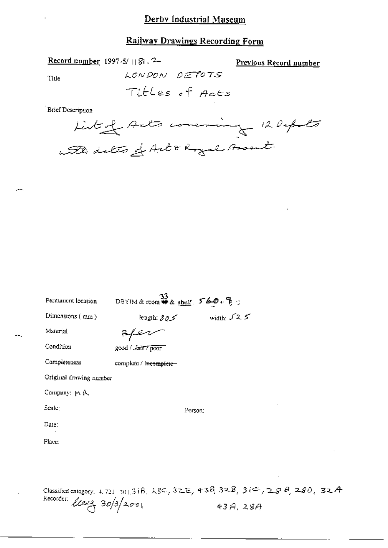# Railway Drawings Recording Form

| Record number 1997-5/ [[8] , <sup>2</sup> = |  |  |
|---------------------------------------------|--|--|
|---------------------------------------------|--|--|

Previous Record number

Title

Titles of Acts

LONDON DEPOTS

**Brief Description** 

| Permanent location      | DBYIM&room #& shelf: 560.笔り |              |
|-------------------------|-----------------------------|--------------|
| Dimensions $(mn)$       | iength: \$ 0.5              | width: $525$ |
| Material                |                             |              |
| Condition               | good / Jair 7 poor          |              |
| Completeness            | complete / incomplete       |              |
| Original drawing number |                             |              |
| Company: P.A.           |                             |              |
| Scale:                  | Person;                     |              |
| Date:                   |                             |              |
| Place:                  |                             |              |
|                         |                             |              |
|                         |                             |              |
|                         |                             |              |

Classified category: 4, 721, 301, 31B,  $\lambda$ 8C, 32E, 43B, 32B, 3(C, 28B, 28D, 32A Recorder:  $l$ leez  $30/3/200$  $43A,28A$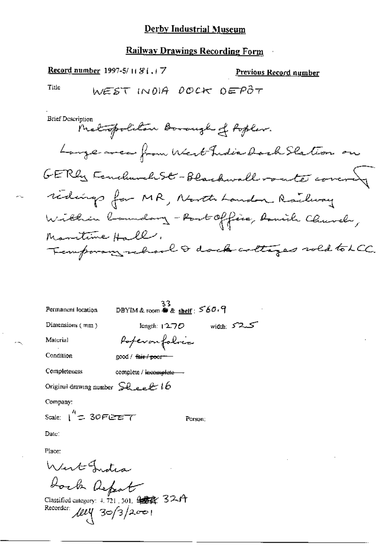# **Railway Drawings Recording Form**

Record number 1997-5/11 81,17 Previous Record number Title WEST INDIA DOCK DEPÔT

**Brief Description** 

| Permanent location                                                         | 3}<br>DBYIM & room <b>⊕</b> & <u>shelf</u> : S60+9 |  |
|----------------------------------------------------------------------------|----------------------------------------------------|--|
| Dimensions (mm)                                                            | كى2°كى width:<br>length: $12.70$                   |  |
| Material                                                                   | Poperonfolocco                                     |  |
| Condition                                                                  | good / <del>fair / poor</del>                      |  |
| Completeness                                                               | complete / i <del>ncomplete</del>                  |  |
| Original drawing number $\mathsf{S}\mathcal{R}$ e e $\ell$ to              |                                                    |  |
| Company:                                                                   |                                                    |  |
| scale: ( <sup>4</sup> ද 30Fපාව7                                            | Person;                                            |  |
| Date:                                                                      |                                                    |  |
| Place:                                                                     |                                                    |  |
| West India                                                                 |                                                    |  |
| Joch Report                                                                |                                                    |  |
| Classified category: $4, 721, 301, 98$<br>Recorder: $\text{OPT}$ 30/3/2001 |                                                    |  |

 $\epsilon \rightarrow \epsilon$